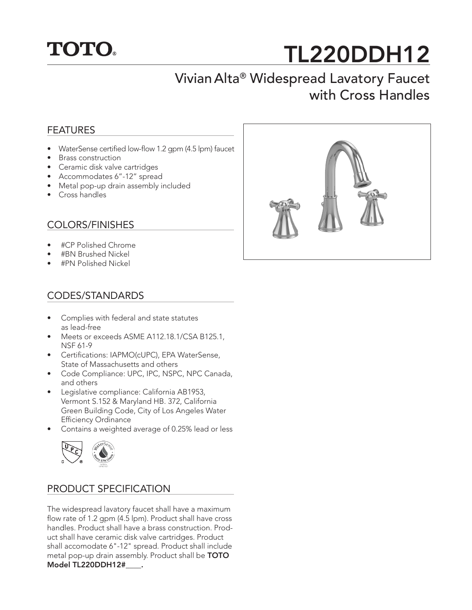

# TL220DDH12

## Vivian Alta® Widespread Lavatory Faucet with Cross Handles

#### FEATURES

- WaterSense certified low-flow 1.2 gpm (4.5 lpm) faucet
- Brass construction
- Ceramic disk valve cartridges
- Accommodates 6"-12" spread
- Metal pop-up drain assembly included
- Cross handles

#### COLORS/FINISHES

- #CP Polished Chrome
- #BN Brushed Nickel
- #PN Polished Nickel

#### CODES/STANDARDS

- Complies with federal and state statutes as lead-free
- Meets or exceeds ASME A112.18.1/CSA B125.1, NSF 61-9
- Certifications: IAPMO(cUPC), EPA WaterSense, State of Massachusetts and others
- Code Compliance: UPC, IPC, NSPC, NPC Canada, and others
- Legislative compliance: California AB1953, Vermont S.152 & Maryland HB. 372, California Green Building Code, City of Los Angeles Water Efficiency Ordinance
- Contains a weighted average of 0.25% lead or less



#### PRODUCT SPECIFICATION

The widespread lavatory faucet shall have a maximum flow rate of 1.2 gpm (4.5 lpm). Product shall have cross handles. Product shall have a brass construction. Product shall have ceramic disk valve cartridges. Product shall accomodate 6"-12" spread. Product shall include metal pop-up drain assembly. Product shall be TOTO Model TL220DDH12#\_\_\_\_.